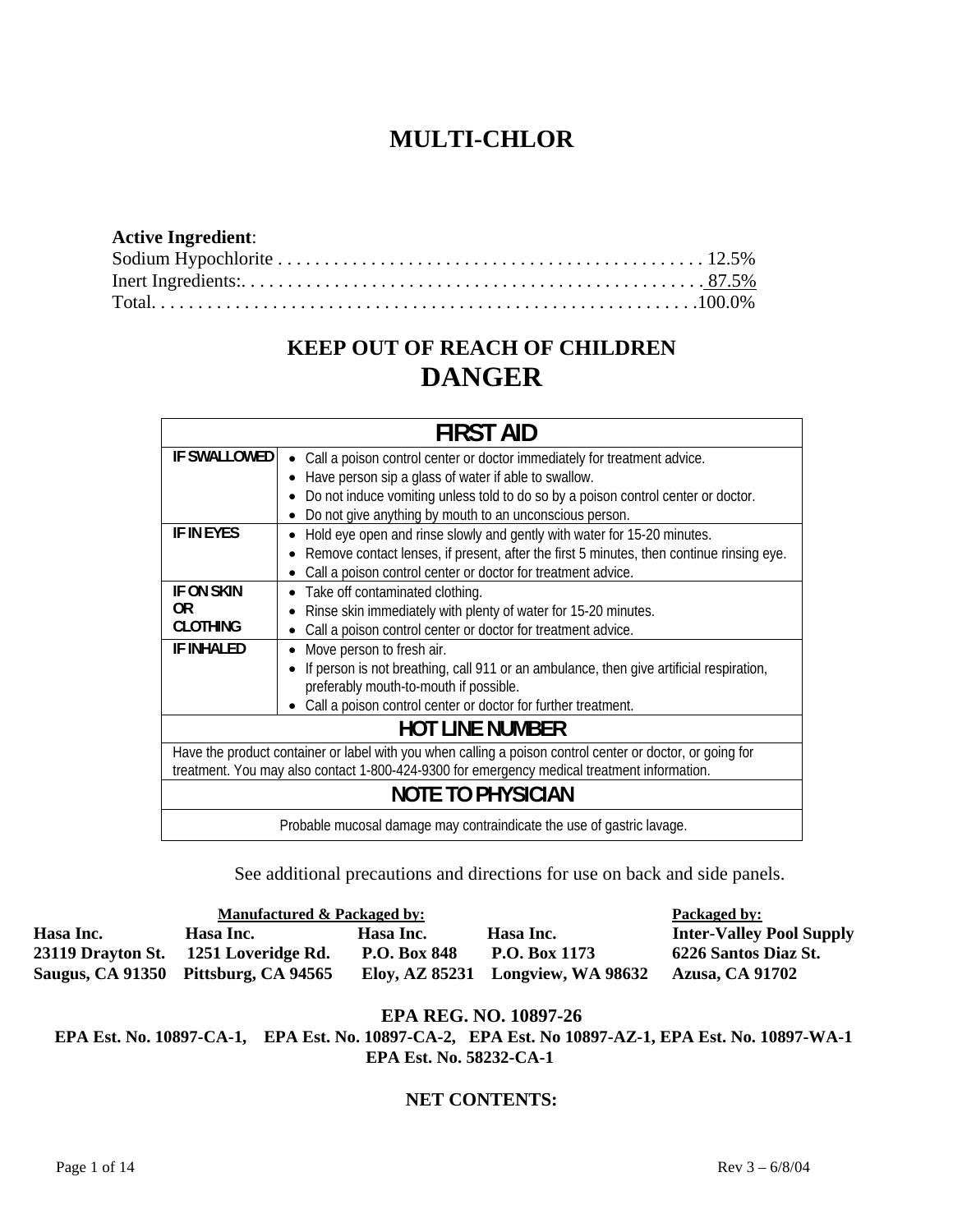# **MULTI-CHLOR**

## **Active Ingredient**: Sodium Hypochlorite . . . . . . . . . . . . . . . . . . . . . . . . . . . . . . . . . . . . . . . . . . . . . . 12.5% Inert Ingredients:. . . . . . . . . . . . . . . . . . . . . . . . . . . . . . . . . . . . . . . . . . . . . . . . . . 87.5% Total. . . . . . . . . . . . . . . . . . . . . . . . . . . . . . . . . . . . . . . . . . . . . . . . . . . . . . . . . . .100.0%

# **KEEP OUT OF REACH OF CHILDREN DANGER**

| <b>FIRST AID</b>                                                                                          |                                                                                          |  |  |  |  |
|-----------------------------------------------------------------------------------------------------------|------------------------------------------------------------------------------------------|--|--|--|--|
| <b>IF SWALLOWED</b>                                                                                       | Call a poison control center or doctor immediately for treatment advice.<br>$\bullet$    |  |  |  |  |
|                                                                                                           | Have person sip a glass of water if able to swallow.                                     |  |  |  |  |
|                                                                                                           | Do not induce vomiting unless told to do so by a poison control center or doctor.        |  |  |  |  |
|                                                                                                           | Do not give anything by mouth to an unconscious person.                                  |  |  |  |  |
| <b>IF IN EYES</b>                                                                                         | Hold eye open and rinse slowly and gently with water for 15-20 minutes.                  |  |  |  |  |
|                                                                                                           | Remove contact lenses, if present, after the first 5 minutes, then continue rinsing eye. |  |  |  |  |
|                                                                                                           | Call a poison control center or doctor for treatment advice.                             |  |  |  |  |
| IF ON SKIN                                                                                                | • Take off contaminated clothing.                                                        |  |  |  |  |
| 0R                                                                                                        | Rinse skin immediately with plenty of water for 15-20 minutes.                           |  |  |  |  |
| <b>CLOTHING</b>                                                                                           | Call a poison control center or doctor for treatment advice.                             |  |  |  |  |
| <b>IF INHALED</b>                                                                                         | Move person to fresh air.                                                                |  |  |  |  |
|                                                                                                           | If person is not breathing, call 911 or an ambulance, then give artificial respiration,  |  |  |  |  |
|                                                                                                           | preferably mouth-to-mouth if possible.                                                   |  |  |  |  |
|                                                                                                           | Call a poison control center or doctor for further treatment.                            |  |  |  |  |
| <b>HOT LINE NUMBER</b>                                                                                    |                                                                                          |  |  |  |  |
| Have the product container or label with you when calling a poison control center or doctor, or going for |                                                                                          |  |  |  |  |
| treatment. You may also contact 1-800-424-9300 for emergency medical treatment information.               |                                                                                          |  |  |  |  |
| <b>NOTE TO PHYSICIAN</b>                                                                                  |                                                                                          |  |  |  |  |
| Probable mucosal damage may contraindicate the use of gastric lavage.                                     |                                                                                          |  |  |  |  |

See additional precautions and directions for use on back and side panels.

|                   | Packaged by:                         |                     |                                   |                                 |
|-------------------|--------------------------------------|---------------------|-----------------------------------|---------------------------------|
| Hasa Inc.         | Hasa Inc.                            | Hasa Inc.           | Hasa Inc.                         | <b>Inter-Valley Pool Supply</b> |
| 23119 Drayton St. | 1251 Loveridge Rd.                   | <b>P.O. Box 848</b> | P.O. Box 1173                     | 6226 Santos Diaz St.            |
|                   | Saugus, CA 91350 Pittsburg, CA 94565 |                     | Eloy, AZ 85231 Longview, WA 98632 | <b>Azusa, CA 91702</b>          |

## **EPA REG. NO. 10897-26**

**EPA Est. No. 10897-CA-1, EPA Est. No. 10897-CA-2, EPA Est. No 10897-AZ-1, EPA Est. No. 10897-WA-1 EPA Est. No. 58232-CA-1** 

# **NET CONTENTS:**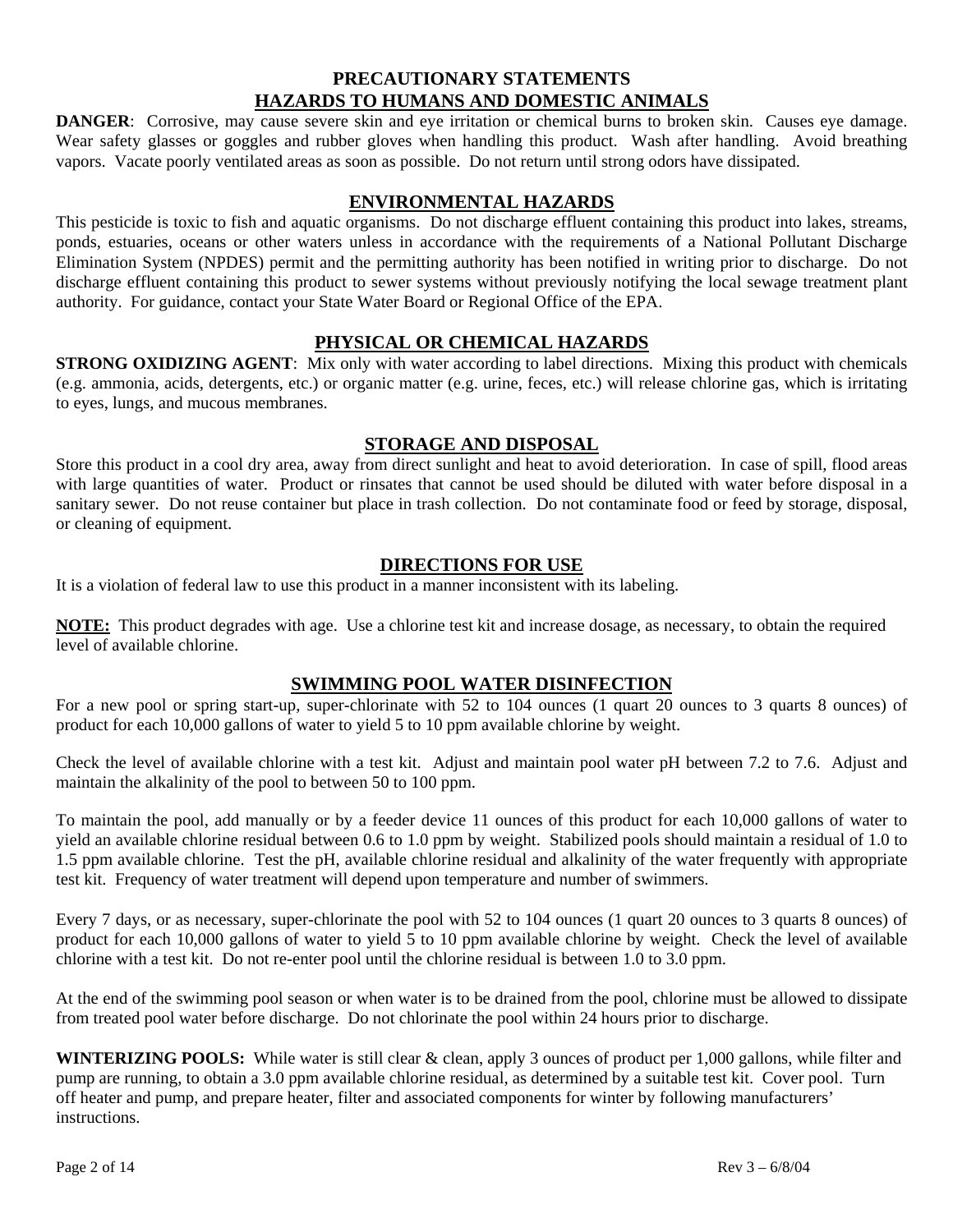# **PRECAUTIONARY STATEMENTS HAZARDS TO HUMANS AND DOMESTIC ANIMALS**

**DANGER:** Corrosive, may cause severe skin and eye irritation or chemical burns to broken skin. Causes eye damage. Wear safety glasses or goggles and rubber gloves when handling this product. Wash after handling. Avoid breathing vapors. Vacate poorly ventilated areas as soon as possible. Do not return until strong odors have dissipated.

## **ENVIRONMENTAL HAZARDS**

This pesticide is toxic to fish and aquatic organisms. Do not discharge effluent containing this product into lakes, streams, ponds, estuaries, oceans or other waters unless in accordance with the requirements of a National Pollutant Discharge Elimination System (NPDES) permit and the permitting authority has been notified in writing prior to discharge. Do not discharge effluent containing this product to sewer systems without previously notifying the local sewage treatment plant authority. For guidance, contact your State Water Board or Regional Office of the EPA.

## **PHYSICAL OR CHEMICAL HAZARDS**

**STRONG OXIDIZING AGENT:** Mix only with water according to label directions. Mixing this product with chemicals (e.g. ammonia, acids, detergents, etc.) or organic matter (e.g. urine, feces, etc.) will release chlorine gas, which is irritating to eyes, lungs, and mucous membranes.

## **STORAGE AND DISPOSAL**

Store this product in a cool dry area, away from direct sunlight and heat to avoid deterioration. In case of spill, flood areas with large quantities of water. Product or rinsates that cannot be used should be diluted with water before disposal in a sanitary sewer. Do not reuse container but place in trash collection. Do not contaminate food or feed by storage, disposal, or cleaning of equipment.

## **DIRECTIONS FOR USE**

It is a violation of federal law to use this product in a manner inconsistent with its labeling.

**NOTE:** This product degrades with age. Use a chlorine test kit and increase dosage, as necessary, to obtain the required level of available chlorine.

## **SWIMMING POOL WATER DISINFECTION**

For a new pool or spring start-up, super-chlorinate with 52 to 104 ounces (1 quart 20 ounces to 3 quarts 8 ounces) of product for each 10,000 gallons of water to yield 5 to 10 ppm available chlorine by weight.

Check the level of available chlorine with a test kit. Adjust and maintain pool water pH between 7.2 to 7.6. Adjust and maintain the alkalinity of the pool to between 50 to 100 ppm.

To maintain the pool, add manually or by a feeder device 11 ounces of this product for each 10,000 gallons of water to yield an available chlorine residual between 0.6 to 1.0 ppm by weight. Stabilized pools should maintain a residual of 1.0 to 1.5 ppm available chlorine. Test the pH, available chlorine residual and alkalinity of the water frequently with appropriate test kit. Frequency of water treatment will depend upon temperature and number of swimmers.

Every 7 days, or as necessary, super-chlorinate the pool with 52 to 104 ounces (1 quart 20 ounces to 3 quarts 8 ounces) of product for each 10,000 gallons of water to yield 5 to 10 ppm available chlorine by weight. Check the level of available chlorine with a test kit. Do not re-enter pool until the chlorine residual is between 1.0 to 3.0 ppm.

At the end of the swimming pool season or when water is to be drained from the pool, chlorine must be allowed to dissipate from treated pool water before discharge. Do not chlorinate the pool within 24 hours prior to discharge.

**WINTERIZING POOLS:** While water is still clear & clean, apply 3 ounces of product per 1,000 gallons, while filter and pump are running, to obtain a 3.0 ppm available chlorine residual, as determined by a suitable test kit. Cover pool. Turn off heater and pump, and prepare heater, filter and associated components for winter by following manufacturers' instructions.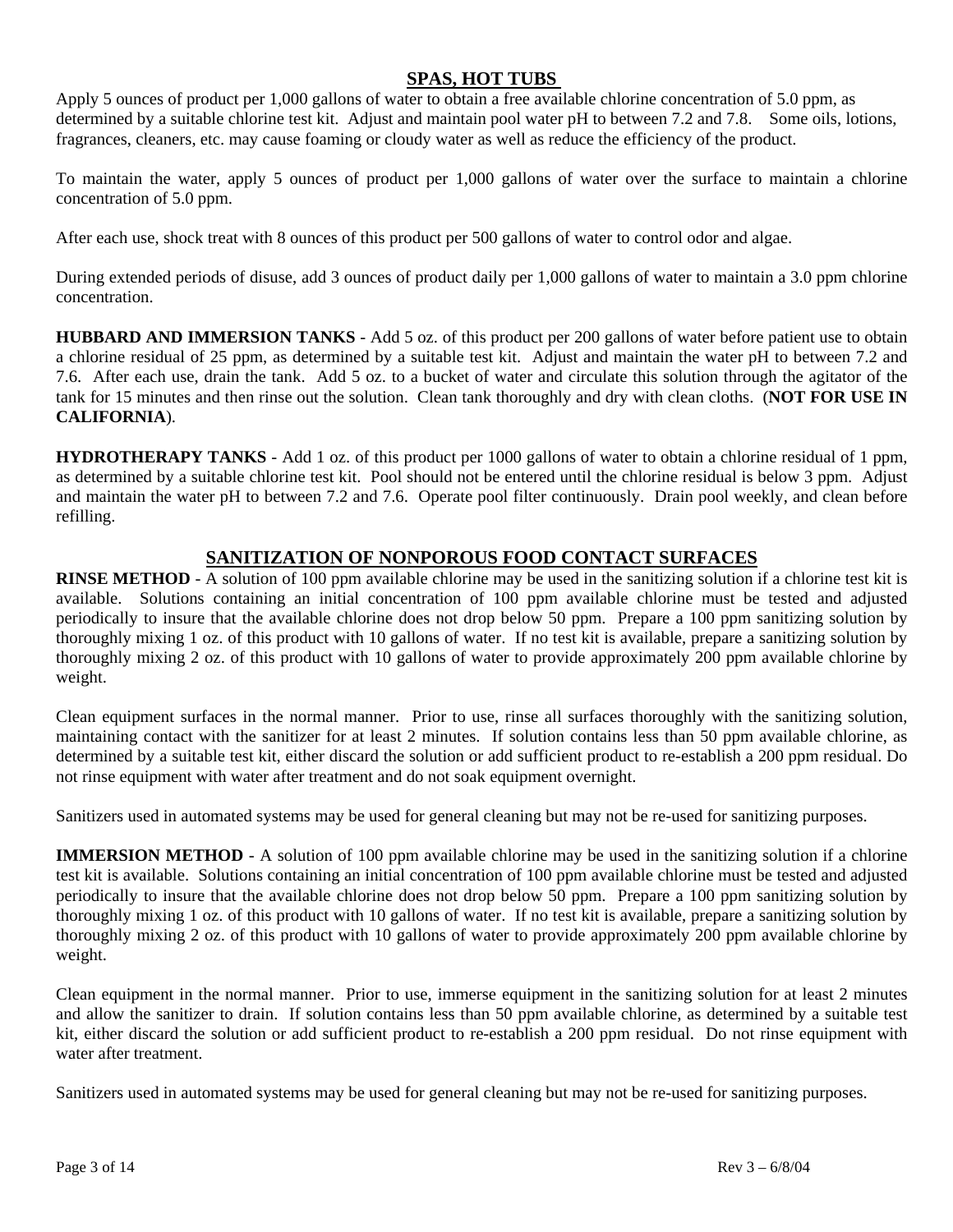## **SPAS, HOT TUBS**

Apply 5 ounces of product per 1,000 gallons of water to obtain a free available chlorine concentration of 5.0 ppm, as determined by a suitable chlorine test kit. Adjust and maintain pool water pH to between 7.2 and 7.8. Some oils, lotions, fragrances, cleaners, etc. may cause foaming or cloudy water as well as reduce the efficiency of the product.

To maintain the water, apply 5 ounces of product per 1,000 gallons of water over the surface to maintain a chlorine concentration of 5.0 ppm.

After each use, shock treat with 8 ounces of this product per 500 gallons of water to control odor and algae.

During extended periods of disuse, add 3 ounces of product daily per 1,000 gallons of water to maintain a 3.0 ppm chlorine concentration.

**HUBBARD AND IMMERSION TANKS** - Add 5 oz. of this product per 200 gallons of water before patient use to obtain a chlorine residual of 25 ppm, as determined by a suitable test kit. Adjust and maintain the water pH to between 7.2 and 7.6. After each use, drain the tank. Add 5 oz. to a bucket of water and circulate this solution through the agitator of the tank for 15 minutes and then rinse out the solution. Clean tank thoroughly and dry with clean cloths. (**NOT FOR USE IN CALIFORNIA**).

**HYDROTHERAPY TANKS** - Add 1 oz. of this product per 1000 gallons of water to obtain a chlorine residual of 1 ppm, as determined by a suitable chlorine test kit. Pool should not be entered until the chlorine residual is below 3 ppm. Adjust and maintain the water pH to between 7.2 and 7.6. Operate pool filter continuously. Drain pool weekly, and clean before refilling.

## **SANITIZATION OF NONPOROUS FOOD CONTACT SURFACES**

**RINSE METHOD** - A solution of 100 ppm available chlorine may be used in the sanitizing solution if a chlorine test kit is available. Solutions containing an initial concentration of 100 ppm available chlorine must be tested and adjusted periodically to insure that the available chlorine does not drop below 50 ppm. Prepare a 100 ppm sanitizing solution by thoroughly mixing 1 oz. of this product with 10 gallons of water. If no test kit is available, prepare a sanitizing solution by thoroughly mixing 2 oz. of this product with 10 gallons of water to provide approximately 200 ppm available chlorine by weight.

Clean equipment surfaces in the normal manner. Prior to use, rinse all surfaces thoroughly with the sanitizing solution, maintaining contact with the sanitizer for at least 2 minutes. If solution contains less than 50 ppm available chlorine, as determined by a suitable test kit, either discard the solution or add sufficient product to re-establish a 200 ppm residual. Do not rinse equipment with water after treatment and do not soak equipment overnight.

Sanitizers used in automated systems may be used for general cleaning but may not be re-used for sanitizing purposes.

**IMMERSION METHOD** - A solution of 100 ppm available chlorine may be used in the sanitizing solution if a chlorine test kit is available. Solutions containing an initial concentration of 100 ppm available chlorine must be tested and adjusted periodically to insure that the available chlorine does not drop below 50 ppm. Prepare a 100 ppm sanitizing solution by thoroughly mixing 1 oz. of this product with 10 gallons of water. If no test kit is available, prepare a sanitizing solution by thoroughly mixing 2 oz. of this product with 10 gallons of water to provide approximately 200 ppm available chlorine by weight.

Clean equipment in the normal manner. Prior to use, immerse equipment in the sanitizing solution for at least 2 minutes and allow the sanitizer to drain. If solution contains less than 50 ppm available chlorine, as determined by a suitable test kit, either discard the solution or add sufficient product to re-establish a 200 ppm residual. Do not rinse equipment with water after treatment.

Sanitizers used in automated systems may be used for general cleaning but may not be re-used for sanitizing purposes.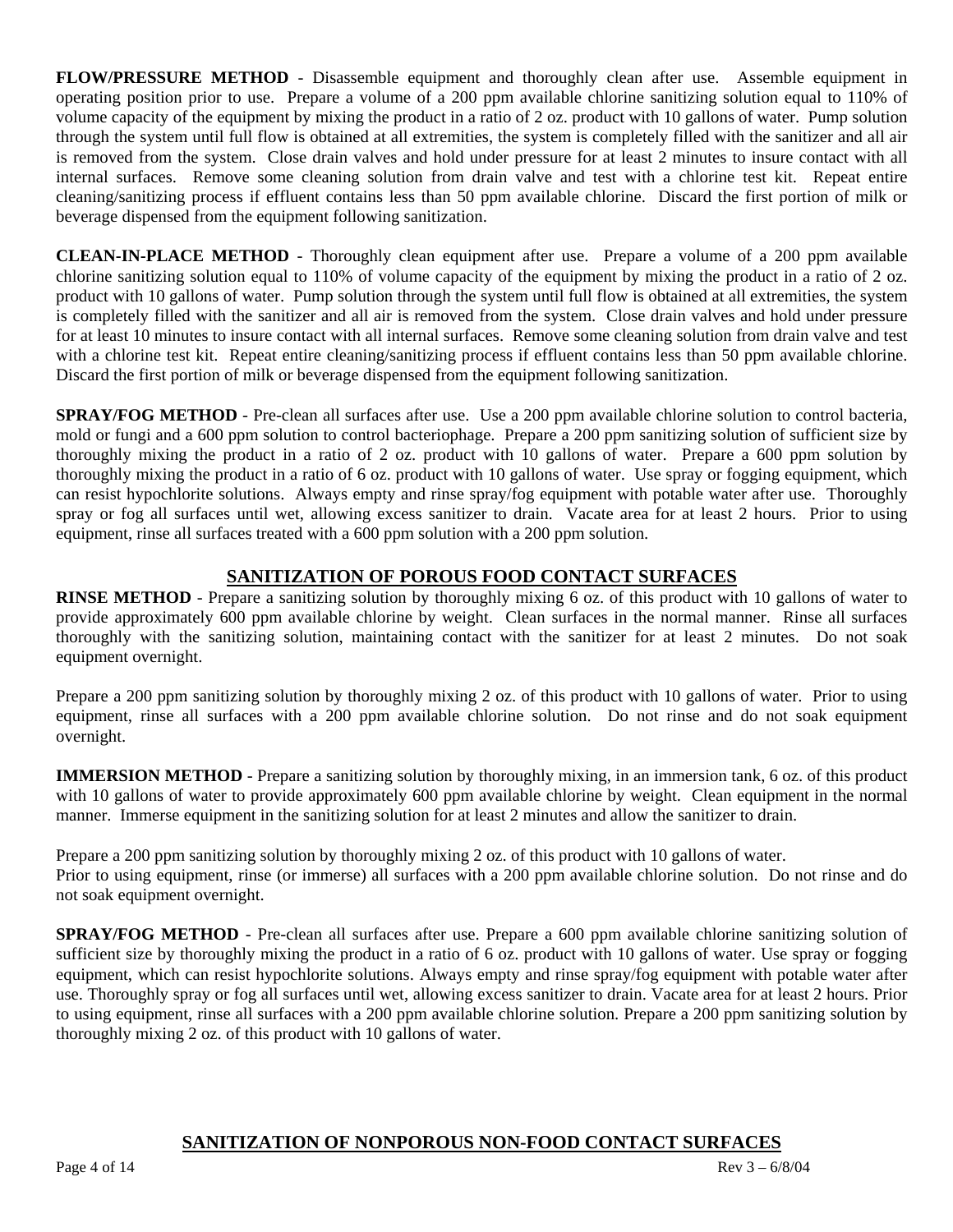**FLOW/PRESSURE METHOD** - Disassemble equipment and thoroughly clean after use. Assemble equipment in operating position prior to use. Prepare a volume of a 200 ppm available chlorine sanitizing solution equal to 110% of volume capacity of the equipment by mixing the product in a ratio of 2 oz. product with 10 gallons of water. Pump solution through the system until full flow is obtained at all extremities, the system is completely filled with the sanitizer and all air is removed from the system. Close drain valves and hold under pressure for at least 2 minutes to insure contact with all internal surfaces. Remove some cleaning solution from drain valve and test with a chlorine test kit. Repeat entire cleaning/sanitizing process if effluent contains less than 50 ppm available chlorine. Discard the first portion of milk or beverage dispensed from the equipment following sanitization.

**CLEAN-IN-PLACE METHOD** - Thoroughly clean equipment after use. Prepare a volume of a 200 ppm available chlorine sanitizing solution equal to 110% of volume capacity of the equipment by mixing the product in a ratio of 2 oz. product with 10 gallons of water. Pump solution through the system until full flow is obtained at all extremities, the system is completely filled with the sanitizer and all air is removed from the system. Close drain valves and hold under pressure for at least 10 minutes to insure contact with all internal surfaces. Remove some cleaning solution from drain valve and test with a chlorine test kit. Repeat entire cleaning/sanitizing process if effluent contains less than 50 ppm available chlorine. Discard the first portion of milk or beverage dispensed from the equipment following sanitization.

**SPRAY/FOG METHOD** - Pre-clean all surfaces after use. Use a 200 ppm available chlorine solution to control bacteria, mold or fungi and a 600 ppm solution to control bacteriophage. Prepare a 200 ppm sanitizing solution of sufficient size by thoroughly mixing the product in a ratio of 2 oz. product with 10 gallons of water. Prepare a 600 ppm solution by thoroughly mixing the product in a ratio of 6 oz. product with 10 gallons of water. Use spray or fogging equipment, which can resist hypochlorite solutions. Always empty and rinse spray/fog equipment with potable water after use. Thoroughly spray or fog all surfaces until wet, allowing excess sanitizer to drain. Vacate area for at least 2 hours. Prior to using equipment, rinse all surfaces treated with a 600 ppm solution with a 200 ppm solution.

## **SANITIZATION OF POROUS FOOD CONTACT SURFACES**

**RINSE METHOD** - Prepare a sanitizing solution by thoroughly mixing 6 oz. of this product with 10 gallons of water to provide approximately 600 ppm available chlorine by weight. Clean surfaces in the normal manner. Rinse all surfaces thoroughly with the sanitizing solution, maintaining contact with the sanitizer for at least 2 minutes. Do not soak equipment overnight.

Prepare a 200 ppm sanitizing solution by thoroughly mixing 2 oz. of this product with 10 gallons of water. Prior to using equipment, rinse all surfaces with a 200 ppm available chlorine solution. Do not rinse and do not soak equipment overnight.

**IMMERSION METHOD** - Prepare a sanitizing solution by thoroughly mixing, in an immersion tank, 6 oz. of this product with 10 gallons of water to provide approximately 600 ppm available chlorine by weight. Clean equipment in the normal manner. Immerse equipment in the sanitizing solution for at least 2 minutes and allow the sanitizer to drain.

Prepare a 200 ppm sanitizing solution by thoroughly mixing 2 oz. of this product with 10 gallons of water. Prior to using equipment, rinse (or immerse) all surfaces with a 200 ppm available chlorine solution. Do not rinse and do not soak equipment overnight.

**SPRAY/FOG METHOD** - Pre-clean all surfaces after use. Prepare a 600 ppm available chlorine sanitizing solution of sufficient size by thoroughly mixing the product in a ratio of 6 oz. product with 10 gallons of water. Use spray or fogging equipment, which can resist hypochlorite solutions. Always empty and rinse spray/fog equipment with potable water after use. Thoroughly spray or fog all surfaces until wet, allowing excess sanitizer to drain. Vacate area for at least 2 hours. Prior to using equipment, rinse all surfaces with a 200 ppm available chlorine solution. Prepare a 200 ppm sanitizing solution by thoroughly mixing 2 oz. of this product with 10 gallons of water.

## **SANITIZATION OF NONPOROUS NON-FOOD CONTACT SURFACES**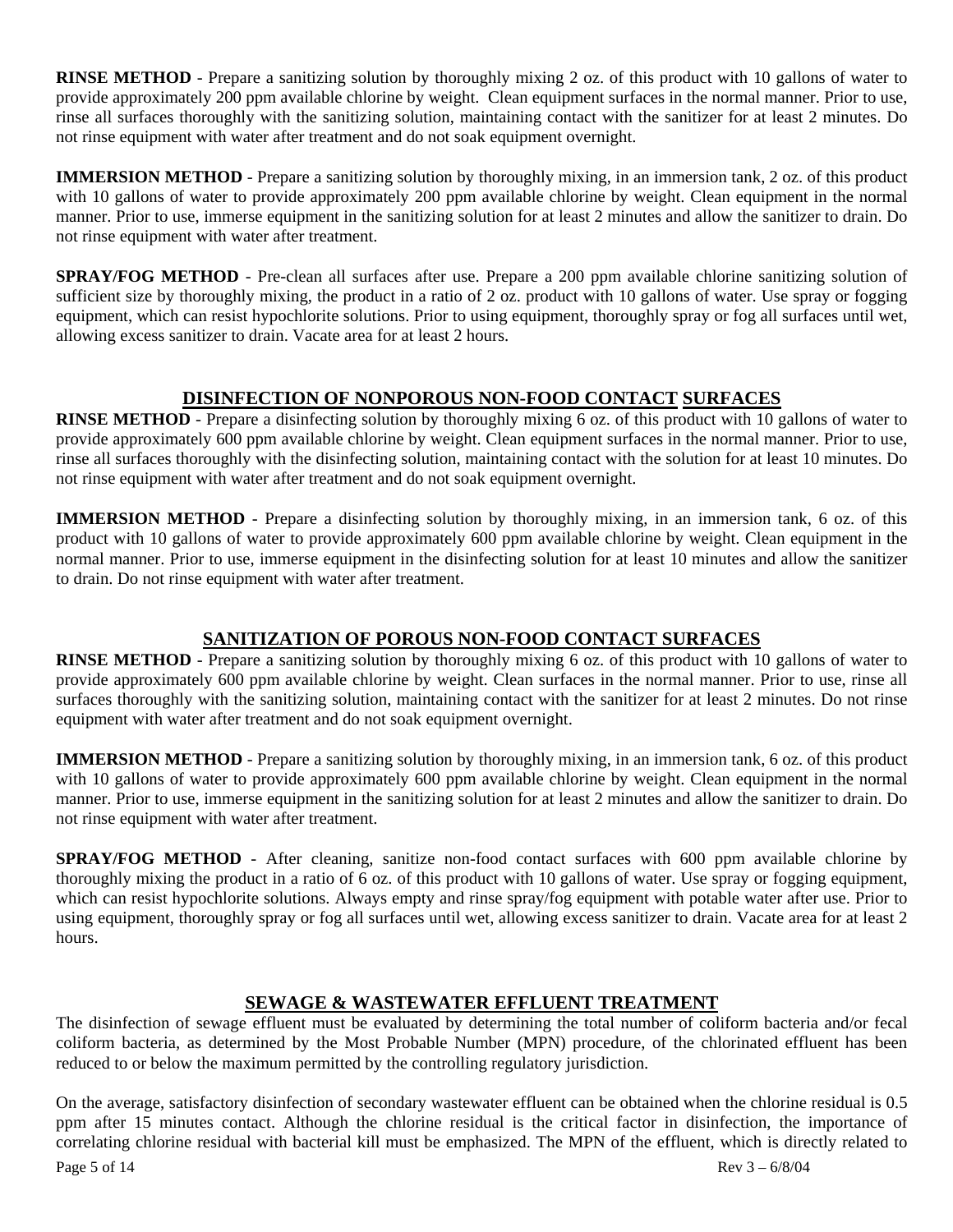**RINSE METHOD** - Prepare a sanitizing solution by thoroughly mixing 2 oz. of this product with 10 gallons of water to provide approximately 200 ppm available chlorine by weight. Clean equipment surfaces in the normal manner. Prior to use, rinse all surfaces thoroughly with the sanitizing solution, maintaining contact with the sanitizer for at least 2 minutes. Do not rinse equipment with water after treatment and do not soak equipment overnight.

**IMMERSION METHOD** - Prepare a sanitizing solution by thoroughly mixing, in an immersion tank, 2 oz. of this product with 10 gallons of water to provide approximately 200 ppm available chlorine by weight. Clean equipment in the normal manner. Prior to use, immerse equipment in the sanitizing solution for at least 2 minutes and allow the sanitizer to drain. Do not rinse equipment with water after treatment.

**SPRAY/FOG METHOD** - Pre-clean all surfaces after use. Prepare a 200 ppm available chlorine sanitizing solution of sufficient size by thoroughly mixing, the product in a ratio of 2 oz. product with 10 gallons of water. Use spray or fogging equipment, which can resist hypochlorite solutions. Prior to using equipment, thoroughly spray or fog all surfaces until wet, allowing excess sanitizer to drain. Vacate area for at least 2 hours.

# **DISINFECTION OF NONPOROUS NON-FOOD CONTACT SURFACES**

**RINSE METHOD** - Prepare a disinfecting solution by thoroughly mixing 6 oz. of this product with 10 gallons of water to provide approximately 600 ppm available chlorine by weight. Clean equipment surfaces in the normal manner. Prior to use, rinse all surfaces thoroughly with the disinfecting solution, maintaining contact with the solution for at least 10 minutes. Do not rinse equipment with water after treatment and do not soak equipment overnight.

**IMMERSION METHOD** - Prepare a disinfecting solution by thoroughly mixing, in an immersion tank, 6 oz. of this product with 10 gallons of water to provide approximately 600 ppm available chlorine by weight. Clean equipment in the normal manner. Prior to use, immerse equipment in the disinfecting solution for at least 10 minutes and allow the sanitizer to drain. Do not rinse equipment with water after treatment.

# **SANITIZATION OF POROUS NON-FOOD CONTACT SURFACES**

**RINSE METHOD** - Prepare a sanitizing solution by thoroughly mixing 6 oz. of this product with 10 gallons of water to provide approximately 600 ppm available chlorine by weight. Clean surfaces in the normal manner. Prior to use, rinse all surfaces thoroughly with the sanitizing solution, maintaining contact with the sanitizer for at least 2 minutes. Do not rinse equipment with water after treatment and do not soak equipment overnight.

**IMMERSION METHOD** - Prepare a sanitizing solution by thoroughly mixing, in an immersion tank, 6 oz. of this product with 10 gallons of water to provide approximately 600 ppm available chlorine by weight. Clean equipment in the normal manner. Prior to use, immerse equipment in the sanitizing solution for at least 2 minutes and allow the sanitizer to drain. Do not rinse equipment with water after treatment.

**SPRAY/FOG METHOD** - After cleaning, sanitize non-food contact surfaces with 600 ppm available chlorine by thoroughly mixing the product in a ratio of 6 oz. of this product with 10 gallons of water. Use spray or fogging equipment, which can resist hypochlorite solutions. Always empty and rinse spray/fog equipment with potable water after use. Prior to using equipment, thoroughly spray or fog all surfaces until wet, allowing excess sanitizer to drain. Vacate area for at least 2 hours.

# **SEWAGE & WASTEWATER EFFLUENT TREATMENT**

The disinfection of sewage effluent must be evaluated by determining the total number of coliform bacteria and/or fecal coliform bacteria, as determined by the Most Probable Number (MPN) procedure, of the chlorinated effluent has been reduced to or below the maximum permitted by the controlling regulatory jurisdiction.

On the average, satisfactory disinfection of secondary wastewater effluent can be obtained when the chlorine residual is 0.5 ppm after 15 minutes contact. Although the chlorine residual is the critical factor in disinfection, the importance of correlating chlorine residual with bacterial kill must be emphasized. The MPN of the effluent, which is directly related to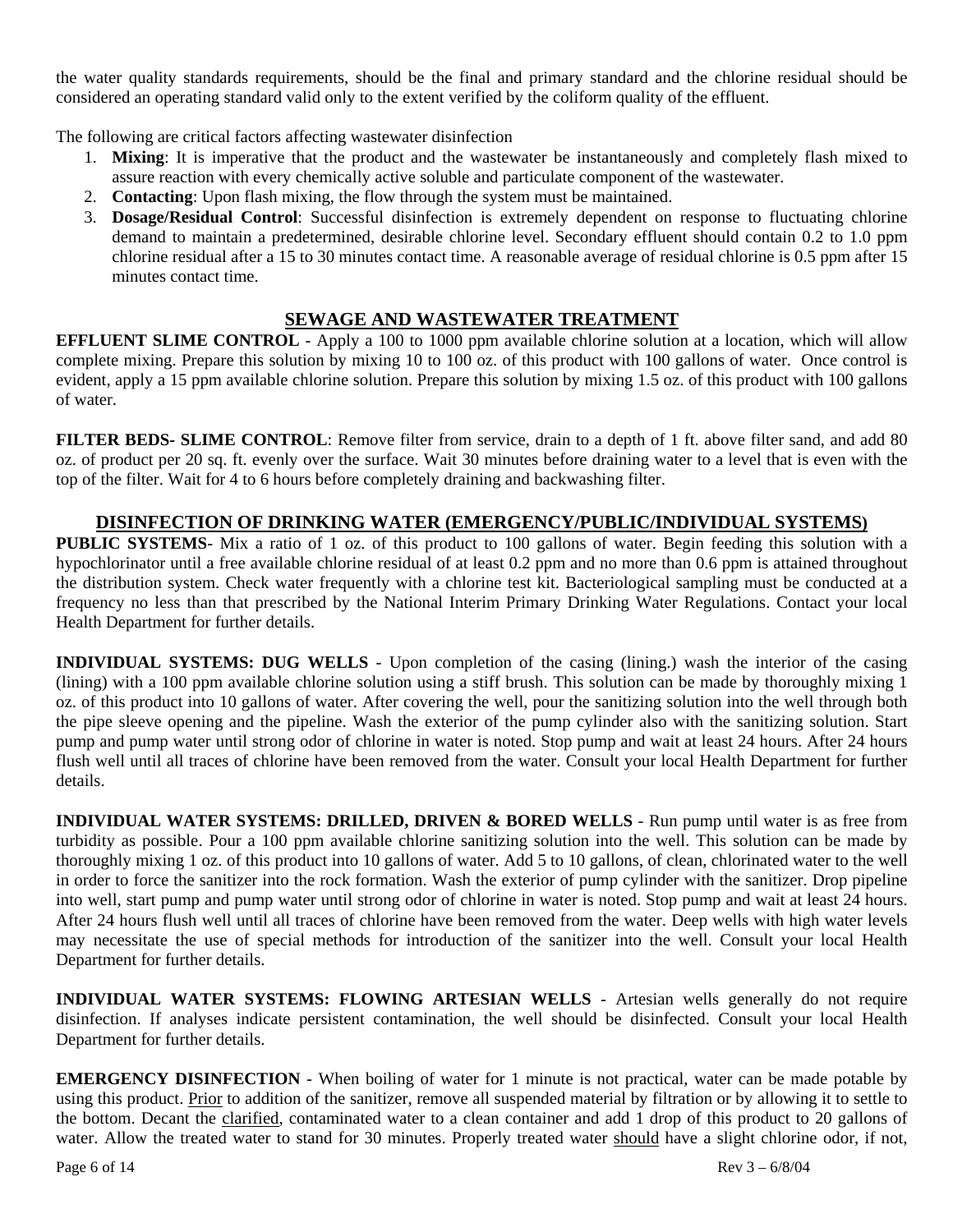the water quality standards requirements, should be the final and primary standard and the chlorine residual should be considered an operating standard valid only to the extent verified by the coliform quality of the effluent.

The following are critical factors affecting wastewater disinfection

- 1. **Mixing**: It is imperative that the product and the wastewater be instantaneously and completely flash mixed to assure reaction with every chemically active soluble and particulate component of the wastewater.
- 2. **Contacting**: Upon flash mixing, the flow through the system must be maintained.
- 3. **Dosage/Residual Control**: Successful disinfection is extremely dependent on response to fluctuating chlorine demand to maintain a predetermined, desirable chlorine level. Secondary effluent should contain 0.2 to 1.0 ppm chlorine residual after a 15 to 30 minutes contact time. A reasonable average of residual chlorine is 0.5 ppm after 15 minutes contact time.

## **SEWAGE AND WASTEWATER TREATMENT**

**EFFLUENT SLIME CONTROL** - Apply a 100 to 1000 ppm available chlorine solution at a location, which will allow complete mixing. Prepare this solution by mixing 10 to 100 oz. of this product with 100 gallons of water. Once control is evident, apply a 15 ppm available chlorine solution. Prepare this solution by mixing 1.5 oz. of this product with 100 gallons of water.

**FILTER BEDS- SLIME CONTROL:** Remove filter from service, drain to a depth of 1 ft. above filter sand, and add 80 oz. of product per 20 sq. ft. evenly over the surface. Wait 30 minutes before draining water to a level that is even with the top of the filter. Wait for 4 to 6 hours before completely draining and backwashing filter.

## **DISINFECTION OF DRINKING WATER (EMERGENCY/PUBLIC/INDIVIDUAL SYSTEMS)**

**PUBLIC SYSTEMS**- Mix a ratio of 1 oz. of this product to 100 gallons of water. Begin feeding this solution with a hypochlorinator until a free available chlorine residual of at least 0.2 ppm and no more than 0.6 ppm is attained throughout the distribution system. Check water frequently with a chlorine test kit. Bacteriological sampling must be conducted at a frequency no less than that prescribed by the National Interim Primary Drinking Water Regulations. Contact your local Health Department for further details.

**INDIVIDUAL SYSTEMS: DUG WELLS** - Upon completion of the casing (lining.) wash the interior of the casing (lining) with a 100 ppm available chlorine solution using a stiff brush. This solution can be made by thoroughly mixing 1 oz. of this product into 10 gallons of water. After covering the well, pour the sanitizing solution into the well through both the pipe sleeve opening and the pipeline. Wash the exterior of the pump cylinder also with the sanitizing solution. Start pump and pump water until strong odor of chlorine in water is noted. Stop pump and wait at least 24 hours. After 24 hours flush well until all traces of chlorine have been removed from the water. Consult your local Health Department for further details.

**INDIVIDUAL WATER SYSTEMS: DRILLED, DRIVEN & BORED WELLS** - Run pump until water is as free from turbidity as possible. Pour a 100 ppm available chlorine sanitizing solution into the well. This solution can be made by thoroughly mixing 1 oz. of this product into 10 gallons of water. Add 5 to 10 gallons, of clean, chlorinated water to the well in order to force the sanitizer into the rock formation. Wash the exterior of pump cylinder with the sanitizer. Drop pipeline into well, start pump and pump water until strong odor of chlorine in water is noted. Stop pump and wait at least 24 hours. After 24 hours flush well until all traces of chlorine have been removed from the water. Deep wells with high water levels may necessitate the use of special methods for introduction of the sanitizer into the well. Consult your local Health Department for further details.

**INDIVIDUAL WATER SYSTEMS: FLOWING ARTESIAN WELLS** - Artesian wells generally do not require disinfection. If analyses indicate persistent contamination, the well should be disinfected. Consult your local Health Department for further details.

**EMERGENCY DISINFECTION** - When boiling of water for 1 minute is not practical, water can be made potable by using this product. Prior to addition of the sanitizer, remove all suspended material by filtration or by allowing it to settle to the bottom. Decant the clarified, contaminated water to a clean container and add 1 drop of this product to 20 gallons of water. Allow the treated water to stand for 30 minutes. Properly treated water should have a slight chlorine odor, if not,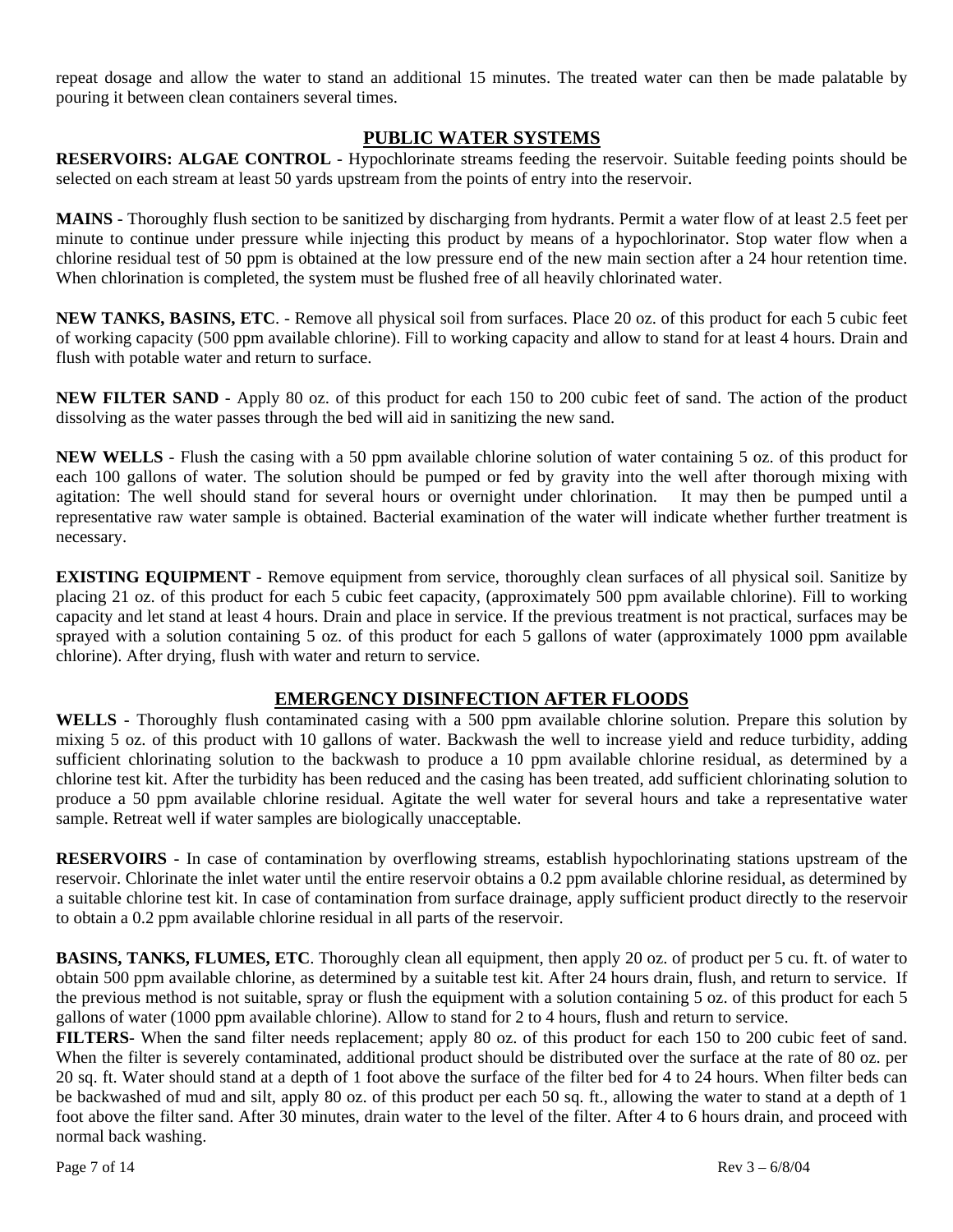repeat dosage and allow the water to stand an additional 15 minutes. The treated water can then be made palatable by pouring it between clean containers several times.

## **PUBLIC WATER SYSTEMS**

**RESERVOIRS: ALGAE CONTROL** - Hypochlorinate streams feeding the reservoir. Suitable feeding points should be selected on each stream at least 50 yards upstream from the points of entry into the reservoir.

**MAINS** - Thoroughly flush section to be sanitized by discharging from hydrants. Permit a water flow of at least 2.5 feet per minute to continue under pressure while injecting this product by means of a hypochlorinator. Stop water flow when a chlorine residual test of 50 ppm is obtained at the low pressure end of the new main section after a 24 hour retention time. When chlorination is completed, the system must be flushed free of all heavily chlorinated water.

**NEW TANKS, BASINS, ETC**. - Remove all physical soil from surfaces. Place 20 oz. of this product for each 5 cubic feet of working capacity (500 ppm available chlorine). Fill to working capacity and allow to stand for at least 4 hours. Drain and flush with potable water and return to surface.

**NEW FILTER SAND** - Apply 80 oz. of this product for each 150 to 200 cubic feet of sand. The action of the product dissolving as the water passes through the bed will aid in sanitizing the new sand.

**NEW WELLS** - Flush the casing with a 50 ppm available chlorine solution of water containing 5 oz. of this product for each 100 gallons of water. The solution should be pumped or fed by gravity into the well after thorough mixing with agitation: The well should stand for several hours or overnight under chlorination. It may then be pumped until a representative raw water sample is obtained. Bacterial examination of the water will indicate whether further treatment is necessary.

**EXISTING EQUIPMENT** - Remove equipment from service, thoroughly clean surfaces of all physical soil. Sanitize by placing 21 oz. of this product for each 5 cubic feet capacity, (approximately 500 ppm available chlorine). Fill to working capacity and let stand at least 4 hours. Drain and place in service. If the previous treatment is not practical, surfaces may be sprayed with a solution containing 5 oz. of this product for each 5 gallons of water (approximately 1000 ppm available chlorine). After drying, flush with water and return to service.

## **EMERGENCY DISINFECTION AFTER FLOODS**

**WELLS** - Thoroughly flush contaminated casing with a 500 ppm available chlorine solution. Prepare this solution by mixing 5 oz. of this product with 10 gallons of water. Backwash the well to increase yield and reduce turbidity, adding sufficient chlorinating solution to the backwash to produce a 10 ppm available chlorine residual, as determined by a chlorine test kit. After the turbidity has been reduced and the casing has been treated, add sufficient chlorinating solution to produce a 50 ppm available chlorine residual. Agitate the well water for several hours and take a representative water sample. Retreat well if water samples are biologically unacceptable.

**RESERVOIRS** - In case of contamination by overflowing streams, establish hypochlorinating stations upstream of the reservoir. Chlorinate the inlet water until the entire reservoir obtains a 0.2 ppm available chlorine residual, as determined by a suitable chlorine test kit. In case of contamination from surface drainage, apply sufficient product directly to the reservoir to obtain a 0.2 ppm available chlorine residual in all parts of the reservoir.

**BASINS, TANKS, FLUMES, ETC**. Thoroughly clean all equipment, then apply 20 oz. of product per 5 cu. ft. of water to obtain 500 ppm available chlorine, as determined by a suitable test kit. After 24 hours drain, flush, and return to service. If the previous method is not suitable, spray or flush the equipment with a solution containing 5 oz. of this product for each 5 gallons of water (1000 ppm available chlorine). Allow to stand for 2 to 4 hours, flush and return to service.

**FILTERS**- When the sand filter needs replacement; apply 80 oz. of this product for each 150 to 200 cubic feet of sand. When the filter is severely contaminated, additional product should be distributed over the surface at the rate of 80 oz. per 20 sq. ft. Water should stand at a depth of 1 foot above the surface of the filter bed for 4 to 24 hours. When filter beds can be backwashed of mud and silt, apply 80 oz. of this product per each 50 sq. ft., allowing the water to stand at a depth of 1 foot above the filter sand. After 30 minutes, drain water to the level of the filter. After 4 to 6 hours drain, and proceed with normal back washing.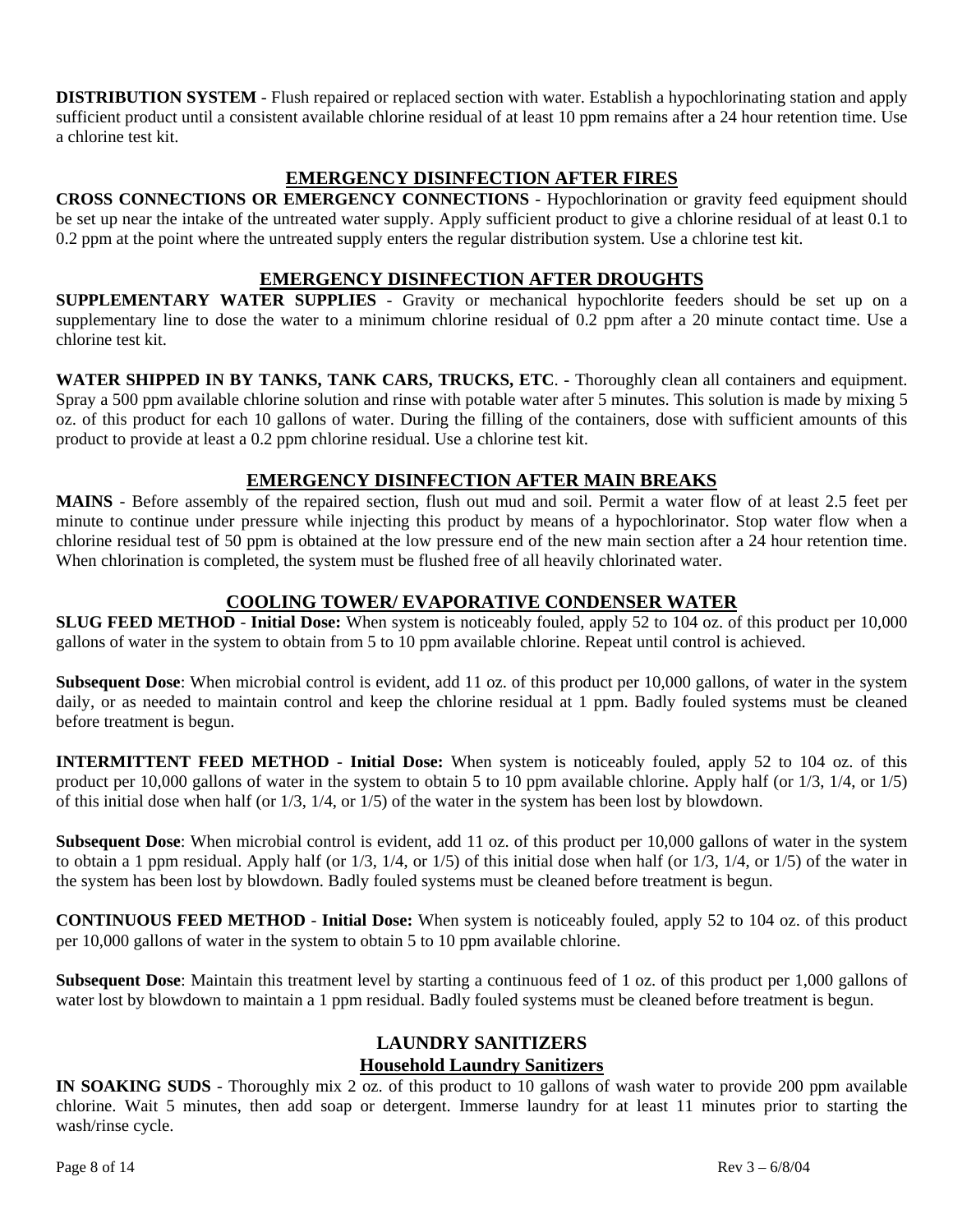**DISTRIBUTION SYSTEM** - Flush repaired or replaced section with water. Establish a hypochlorinating station and apply sufficient product until a consistent available chlorine residual of at least 10 ppm remains after a 24 hour retention time. Use a chlorine test kit.

## **EMERGENCY DISINFECTION AFTER FIRES**

**CROSS CONNECTIONS OR EMERGENCY CONNECTIONS** - Hypochlorination or gravity feed equipment should be set up near the intake of the untreated water supply. Apply sufficient product to give a chlorine residual of at least 0.1 to 0.2 ppm at the point where the untreated supply enters the regular distribution system. Use a chlorine test kit.

## **EMERGENCY DISINFECTION AFTER DROUGHTS**

**SUPPLEMENTARY WATER SUPPLIES** - Gravity or mechanical hypochlorite feeders should be set up on a supplementary line to dose the water to a minimum chlorine residual of 0.2 ppm after a 20 minute contact time. Use a chlorine test kit.

**WATER SHIPPED IN BY TANKS, TANK CARS, TRUCKS, ETC**. - Thoroughly clean all containers and equipment. Spray a 500 ppm available chlorine solution and rinse with potable water after 5 minutes. This solution is made by mixing 5 oz. of this product for each 10 gallons of water. During the filling of the containers, dose with sufficient amounts of this product to provide at least a 0.2 ppm chlorine residual. Use a chlorine test kit.

## **EMERGENCY DISINFECTION AFTER MAIN BREAKS**

**MAINS** - Before assembly of the repaired section, flush out mud and soil. Permit a water flow of at least 2.5 feet per minute to continue under pressure while injecting this product by means of a hypochlorinator. Stop water flow when a chlorine residual test of 50 ppm is obtained at the low pressure end of the new main section after a 24 hour retention time. When chlorination is completed, the system must be flushed free of all heavily chlorinated water.

## **COOLING TOWER/ EVAPORATIVE CONDENSER WATER**

**SLUG FEED METHOD** - **Initial Dose:** When system is noticeably fouled, apply 52 to 104 oz. of this product per 10,000 gallons of water in the system to obtain from 5 to 10 ppm available chlorine. Repeat until control is achieved.

**Subsequent Dose**: When microbial control is evident, add 11 oz. of this product per 10,000 gallons, of water in the system daily, or as needed to maintain control and keep the chlorine residual at 1 ppm. Badly fouled systems must be cleaned before treatment is begun.

**INTERMITTENT FEED METHOD** - **Initial Dose:** When system is noticeably fouled, apply 52 to 104 oz. of this product per 10,000 gallons of water in the system to obtain 5 to 10 ppm available chlorine. Apply half (or 1/3, 1/4, or 1/5) of this initial dose when half (or 1/3, 1/4, or 1/5) of the water in the system has been lost by blowdown.

**Subsequent Dose**: When microbial control is evident, add 11 oz. of this product per 10,000 gallons of water in the system to obtain a 1 ppm residual. Apply half (or  $1/3$ ,  $1/4$ , or  $1/5$ ) of this initial dose when half (or  $1/3$ ,  $1/4$ , or  $1/5$ ) of the water in the system has been lost by blowdown. Badly fouled systems must be cleaned before treatment is begun.

**CONTINUOUS FEED METHOD** - **Initial Dose:** When system is noticeably fouled, apply 52 to 104 oz. of this product per 10,000 gallons of water in the system to obtain 5 to 10 ppm available chlorine.

**Subsequent Dose**: Maintain this treatment level by starting a continuous feed of 1 oz. of this product per 1,000 gallons of water lost by blowdown to maintain a 1 ppm residual. Badly fouled systems must be cleaned before treatment is begun.

## **LAUNDRY SANITIZERS Household Laundry Sanitizers**

**IN SOAKING SUDS** - Thoroughly mix 2 oz. of this product to 10 gallons of wash water to provide 200 ppm available chlorine. Wait 5 minutes, then add soap or detergent. Immerse laundry for at least 11 minutes prior to starting the wash/rinse cycle.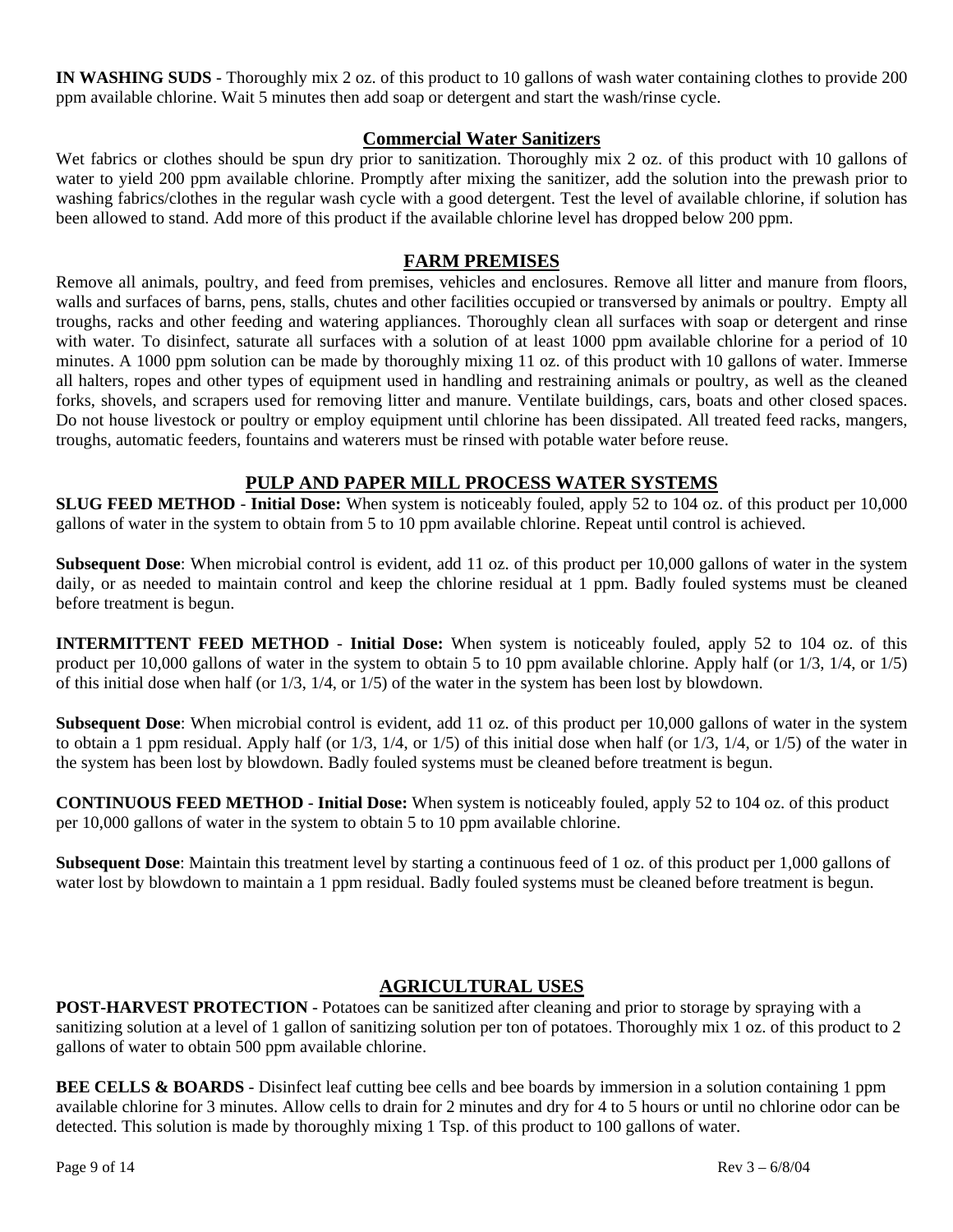**IN WASHING SUDS** - Thoroughly mix 2 oz. of this product to 10 gallons of wash water containing clothes to provide 200 ppm available chlorine. Wait 5 minutes then add soap or detergent and start the wash/rinse cycle.

## **Commercial Water Sanitizers**

Wet fabrics or clothes should be spun dry prior to sanitization. Thoroughly mix 2 oz. of this product with 10 gallons of water to yield 200 ppm available chlorine. Promptly after mixing the sanitizer, add the solution into the prewash prior to washing fabrics/clothes in the regular wash cycle with a good detergent. Test the level of available chlorine, if solution has been allowed to stand. Add more of this product if the available chlorine level has dropped below 200 ppm.

## **FARM PREMISES**

Remove all animals, poultry, and feed from premises, vehicles and enclosures. Remove all litter and manure from floors, walls and surfaces of barns, pens, stalls, chutes and other facilities occupied or transversed by animals or poultry. Empty all troughs, racks and other feeding and watering appliances. Thoroughly clean all surfaces with soap or detergent and rinse with water. To disinfect, saturate all surfaces with a solution of at least 1000 ppm available chlorine for a period of 10 minutes. A 1000 ppm solution can be made by thoroughly mixing 11 oz. of this product with 10 gallons of water. Immerse all halters, ropes and other types of equipment used in handling and restraining animals or poultry, as well as the cleaned forks, shovels, and scrapers used for removing litter and manure. Ventilate buildings, cars, boats and other closed spaces. Do not house livestock or poultry or employ equipment until chlorine has been dissipated. All treated feed racks, mangers, troughs, automatic feeders, fountains and waterers must be rinsed with potable water before reuse.

## **PULP AND PAPER MILL PROCESS WATER SYSTEMS**

**SLUG FEED METHOD** - **Initial Dose:** When system is noticeably fouled, apply 52 to 104 oz. of this product per 10,000 gallons of water in the system to obtain from 5 to 10 ppm available chlorine. Repeat until control is achieved.

**Subsequent Dose**: When microbial control is evident, add 11 oz. of this product per 10,000 gallons of water in the system daily, or as needed to maintain control and keep the chlorine residual at 1 ppm. Badly fouled systems must be cleaned before treatment is begun.

**INTERMITTENT FEED METHOD** - **Initial Dose:** When system is noticeably fouled, apply 52 to 104 oz. of this product per 10,000 gallons of water in the system to obtain 5 to 10 ppm available chlorine. Apply half (or 1/3, 1/4, or 1/5) of this initial dose when half (or 1/3, 1/4, or 1/5) of the water in the system has been lost by blowdown.

**Subsequent Dose**: When microbial control is evident, add 11 oz. of this product per 10,000 gallons of water in the system to obtain a 1 ppm residual. Apply half (or 1/3, 1/4, or 1/5) of this initial dose when half (or 1/3, 1/4, or 1/5) of the water in the system has been lost by blowdown. Badly fouled systems must be cleaned before treatment is begun.

**CONTINUOUS FEED METHOD** - **Initial Dose:** When system is noticeably fouled, apply 52 to 104 oz. of this product per 10,000 gallons of water in the system to obtain 5 to 10 ppm available chlorine.

**Subsequent Dose**: Maintain this treatment level by starting a continuous feed of 1 oz. of this product per 1,000 gallons of water lost by blowdown to maintain a 1 ppm residual. Badly fouled systems must be cleaned before treatment is begun.

#### **AGRICULTURAL USES**

**POST-HARVEST PROTECTION** - Potatoes can be sanitized after cleaning and prior to storage by spraying with a sanitizing solution at a level of 1 gallon of sanitizing solution per ton of potatoes. Thoroughly mix 1 oz. of this product to 2 gallons of water to obtain 500 ppm available chlorine.

**BEE CELLS & BOARDS** - Disinfect leaf cutting bee cells and bee boards by immersion in a solution containing 1 ppm available chlorine for 3 minutes. Allow cells to drain for 2 minutes and dry for 4 to 5 hours or until no chlorine odor can be detected. This solution is made by thoroughly mixing 1 Tsp. of this product to 100 gallons of water.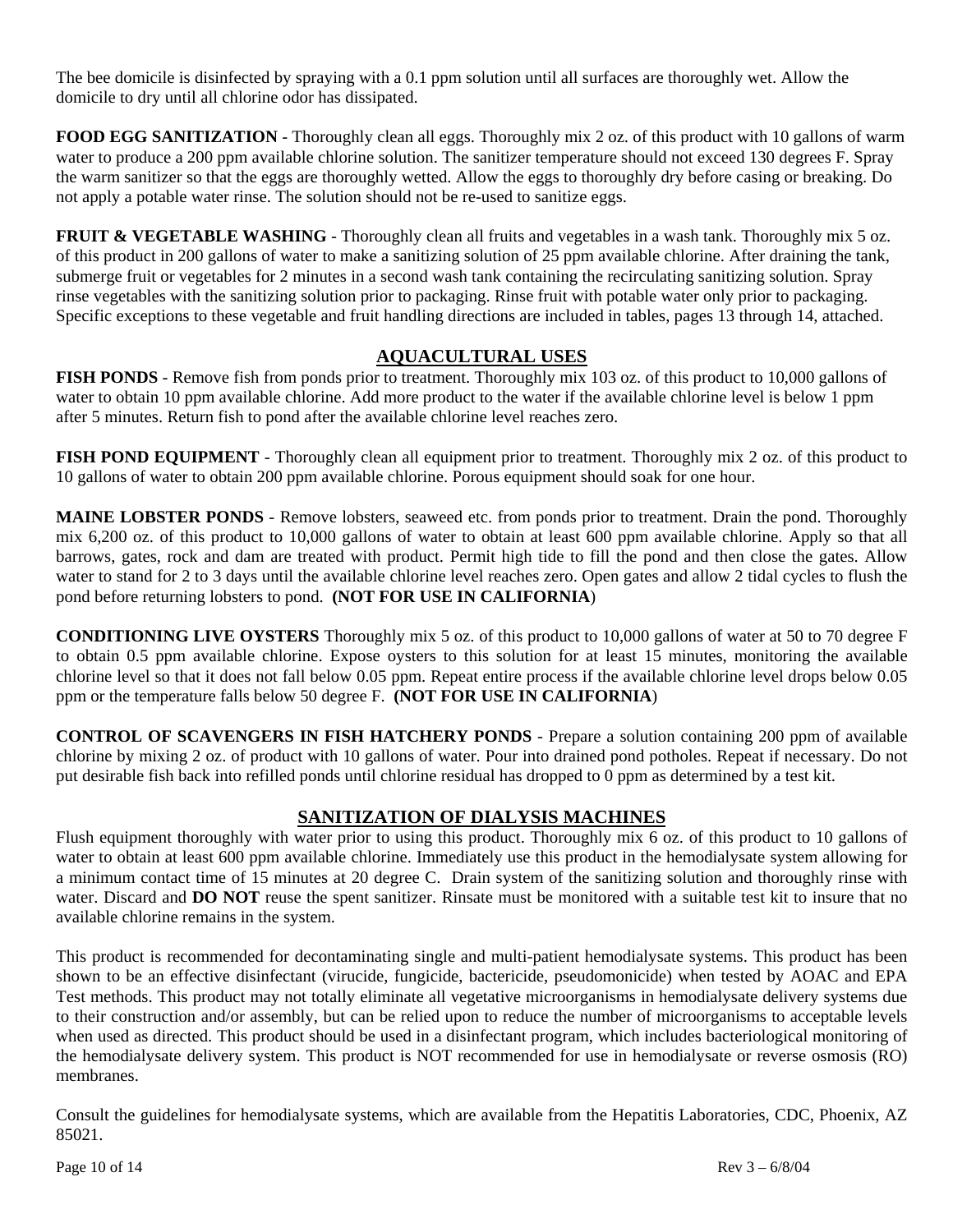The bee domicile is disinfected by spraying with a 0.1 ppm solution until all surfaces are thoroughly wet. Allow the domicile to dry until all chlorine odor has dissipated.

**FOOD EGG SANITIZATION** - Thoroughly clean all eggs. Thoroughly mix 2 oz. of this product with 10 gallons of warm water to produce a 200 ppm available chlorine solution. The sanitizer temperature should not exceed 130 degrees F. Spray the warm sanitizer so that the eggs are thoroughly wetted. Allow the eggs to thoroughly dry before casing or breaking. Do not apply a potable water rinse. The solution should not be re-used to sanitize eggs.

**FRUIT & VEGETABLE WASHING** - Thoroughly clean all fruits and vegetables in a wash tank. Thoroughly mix 5 oz. of this product in 200 gallons of water to make a sanitizing solution of 25 ppm available chlorine. After draining the tank, submerge fruit or vegetables for 2 minutes in a second wash tank containing the recirculating sanitizing solution. Spray rinse vegetables with the sanitizing solution prior to packaging. Rinse fruit with potable water only prior to packaging. Specific exceptions to these vegetable and fruit handling directions are included in tables, pages 13 through 14, attached.

## **AQUACULTURAL USES**

**FISH PONDS** - Remove fish from ponds prior to treatment. Thoroughly mix 103 oz. of this product to 10,000 gallons of water to obtain 10 ppm available chlorine. Add more product to the water if the available chlorine level is below 1 ppm after 5 minutes. Return fish to pond after the available chlorine level reaches zero.

**FISH POND EQUIPMENT** - Thoroughly clean all equipment prior to treatment. Thoroughly mix 2 oz. of this product to 10 gallons of water to obtain 200 ppm available chlorine. Porous equipment should soak for one hour.

**MAINE LOBSTER PONDS** - Remove lobsters, seaweed etc. from ponds prior to treatment. Drain the pond. Thoroughly mix 6,200 oz. of this product to 10,000 gallons of water to obtain at least 600 ppm available chlorine. Apply so that all barrows, gates, rock and dam are treated with product. Permit high tide to fill the pond and then close the gates. Allow water to stand for 2 to 3 days until the available chlorine level reaches zero. Open gates and allow 2 tidal cycles to flush the pond before returning lobsters to pond. **(NOT FOR USE IN CALIFORNIA**)

**CONDITIONING LIVE OYSTERS** Thoroughly mix 5 oz. of this product to 10,000 gallons of water at 50 to 70 degree F to obtain 0.5 ppm available chlorine. Expose oysters to this solution for at least 15 minutes, monitoring the available chlorine level so that it does not fall below 0.05 ppm. Repeat entire process if the available chlorine level drops below 0.05 ppm or the temperature falls below 50 degree F. **(NOT FOR USE IN CALIFORNIA**)

**CONTROL OF SCAVENGERS IN FISH HATCHERY PONDS** - Prepare a solution containing 200 ppm of available chlorine by mixing 2 oz. of product with 10 gallons of water. Pour into drained pond potholes. Repeat if necessary. Do not put desirable fish back into refilled ponds until chlorine residual has dropped to 0 ppm as determined by a test kit.

## **SANITIZATION OF DIALYSIS MACHINES**

Flush equipment thoroughly with water prior to using this product. Thoroughly mix 6 oz. of this product to 10 gallons of water to obtain at least 600 ppm available chlorine. Immediately use this product in the hemodialysate system allowing for a minimum contact time of 15 minutes at 20 degree C. Drain system of the sanitizing solution and thoroughly rinse with water. Discard and **DO NOT** reuse the spent sanitizer. Rinsate must be monitored with a suitable test kit to insure that no available chlorine remains in the system.

This product is recommended for decontaminating single and multi-patient hemodialysate systems. This product has been shown to be an effective disinfectant (virucide, fungicide, bactericide, pseudomonicide) when tested by AOAC and EPA Test methods. This product may not totally eliminate all vegetative microorganisms in hemodialysate delivery systems due to their construction and/or assembly, but can be relied upon to reduce the number of microorganisms to acceptable levels when used as directed. This product should be used in a disinfectant program, which includes bacteriological monitoring of the hemodialysate delivery system. This product is NOT recommended for use in hemodialysate or reverse osmosis (RO) membranes.

Consult the guidelines for hemodialysate systems, which are available from the Hepatitis Laboratories, CDC, Phoenix, AZ 85021.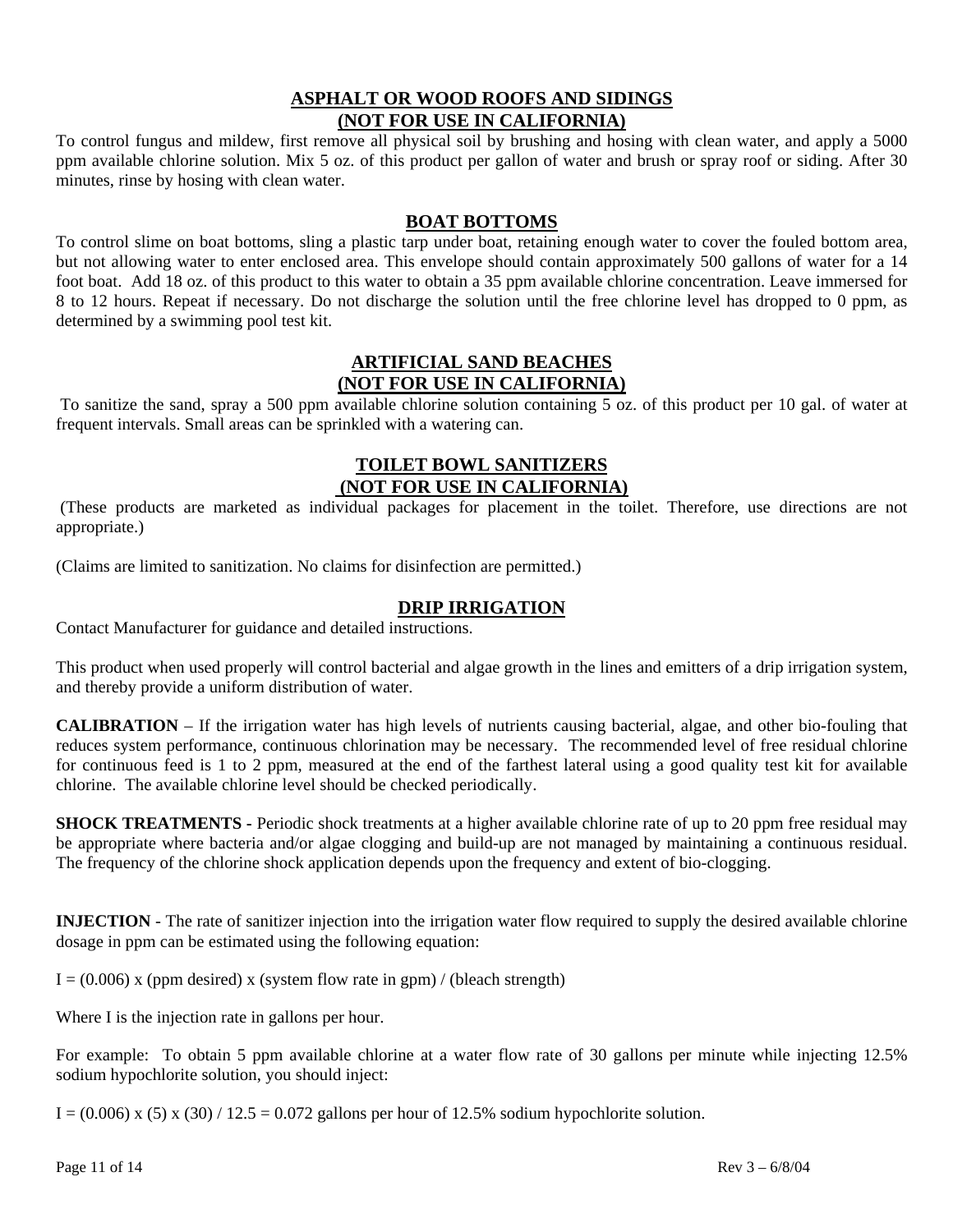## **ASPHALT OR WOOD ROOFS AND SIDINGS (NOT FOR USE IN CALIFORNIA)**

To control fungus and mildew, first remove all physical soil by brushing and hosing with clean water, and apply a 5000 ppm available chlorine solution. Mix 5 oz. of this product per gallon of water and brush or spray roof or siding. After 30 minutes, rinse by hosing with clean water.

## **BOAT BOTTOMS**

To control slime on boat bottoms, sling a plastic tarp under boat, retaining enough water to cover the fouled bottom area, but not allowing water to enter enclosed area. This envelope should contain approximately 500 gallons of water for a 14 foot boat. Add 18 oz. of this product to this water to obtain a 35 ppm available chlorine concentration. Leave immersed for 8 to 12 hours. Repeat if necessary. Do not discharge the solution until the free chlorine level has dropped to 0 ppm, as determined by a swimming pool test kit.

### **ARTIFICIAL SAND BEACHES (NOT FOR USE IN CALIFORNIA)**

 To sanitize the sand, spray a 500 ppm available chlorine solution containing 5 oz. of this product per 10 gal. of water at frequent intervals. Small areas can be sprinkled with a watering can.

## **TOILET BOWL SANITIZERS (NOT FOR USE IN CALIFORNIA)**

 (These products are marketed as individual packages for placement in the toilet. Therefore, use directions are not appropriate.)

(Claims are limited to sanitization. No claims for disinfection are permitted.)

## **DRIP IRRIGATION**

Contact Manufacturer for guidance and detailed instructions.

This product when used properly will control bacterial and algae growth in the lines and emitters of a drip irrigation system, and thereby provide a uniform distribution of water.

**CALIBRATION** – If the irrigation water has high levels of nutrients causing bacterial, algae, and other bio-fouling that reduces system performance, continuous chlorination may be necessary. The recommended level of free residual chlorine for continuous feed is 1 to 2 ppm, measured at the end of the farthest lateral using a good quality test kit for available chlorine. The available chlorine level should be checked periodically.

**SHOCK TREATMENTS** - Periodic shock treatments at a higher available chlorine rate of up to 20 ppm free residual may be appropriate where bacteria and/or algae clogging and build-up are not managed by maintaining a continuous residual. The frequency of the chlorine shock application depends upon the frequency and extent of bio-clogging.

**INJECTION** - The rate of sanitizer injection into the irrigation water flow required to supply the desired available chlorine dosage in ppm can be estimated using the following equation:

 $I = (0.006)$  x (ppm desired) x (system flow rate in gpm) / (bleach strength)

Where I is the injection rate in gallons per hour.

For example: To obtain 5 ppm available chlorine at a water flow rate of 30 gallons per minute while injecting 12.5% sodium hypochlorite solution, you should inject:

 $I = (0.006) \times (5) \times (30) / 12.5 = 0.072$  gallons per hour of 12.5% sodium hypochlorite solution.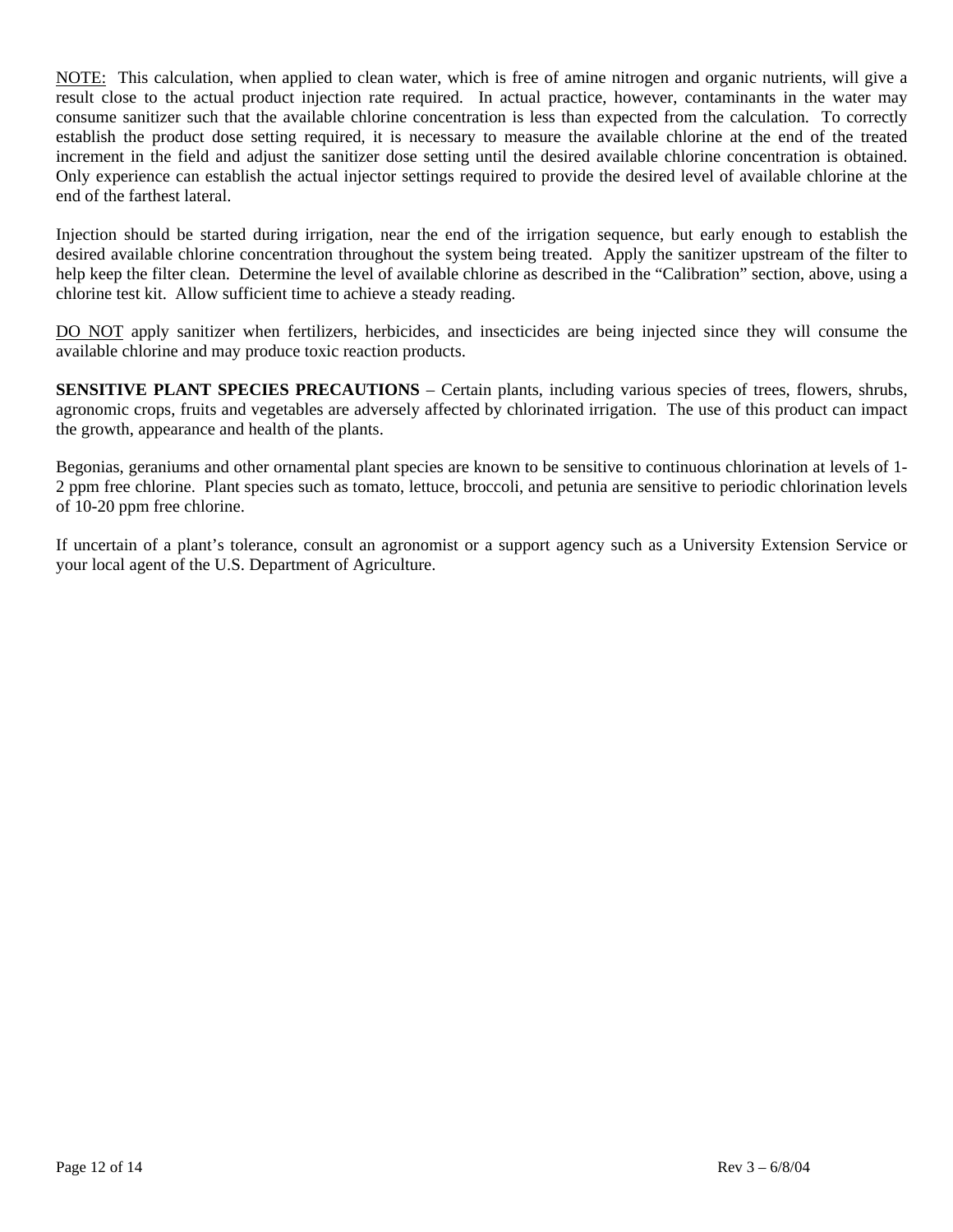NOTE: This calculation, when applied to clean water, which is free of amine nitrogen and organic nutrients, will give a result close to the actual product injection rate required. In actual practice, however, contaminants in the water may consume sanitizer such that the available chlorine concentration is less than expected from the calculation. To correctly establish the product dose setting required, it is necessary to measure the available chlorine at the end of the treated increment in the field and adjust the sanitizer dose setting until the desired available chlorine concentration is obtained. Only experience can establish the actual injector settings required to provide the desired level of available chlorine at the end of the farthest lateral.

Injection should be started during irrigation, near the end of the irrigation sequence, but early enough to establish the desired available chlorine concentration throughout the system being treated. Apply the sanitizer upstream of the filter to help keep the filter clean. Determine the level of available chlorine as described in the "Calibration" section, above, using a chlorine test kit. Allow sufficient time to achieve a steady reading.

DO NOT apply sanitizer when fertilizers, herbicides, and insecticides are being injected since they will consume the available chlorine and may produce toxic reaction products.

**SENSITIVE PLANT SPECIES PRECAUTIONS** – Certain plants, including various species of trees, flowers, shrubs, agronomic crops, fruits and vegetables are adversely affected by chlorinated irrigation. The use of this product can impact the growth, appearance and health of the plants.

Begonias, geraniums and other ornamental plant species are known to be sensitive to continuous chlorination at levels of 1- 2 ppm free chlorine. Plant species such as tomato, lettuce, broccoli, and petunia are sensitive to periodic chlorination levels of 10-20 ppm free chlorine.

If uncertain of a plant's tolerance, consult an agronomist or a support agency such as a University Extension Service or your local agent of the U.S. Department of Agriculture.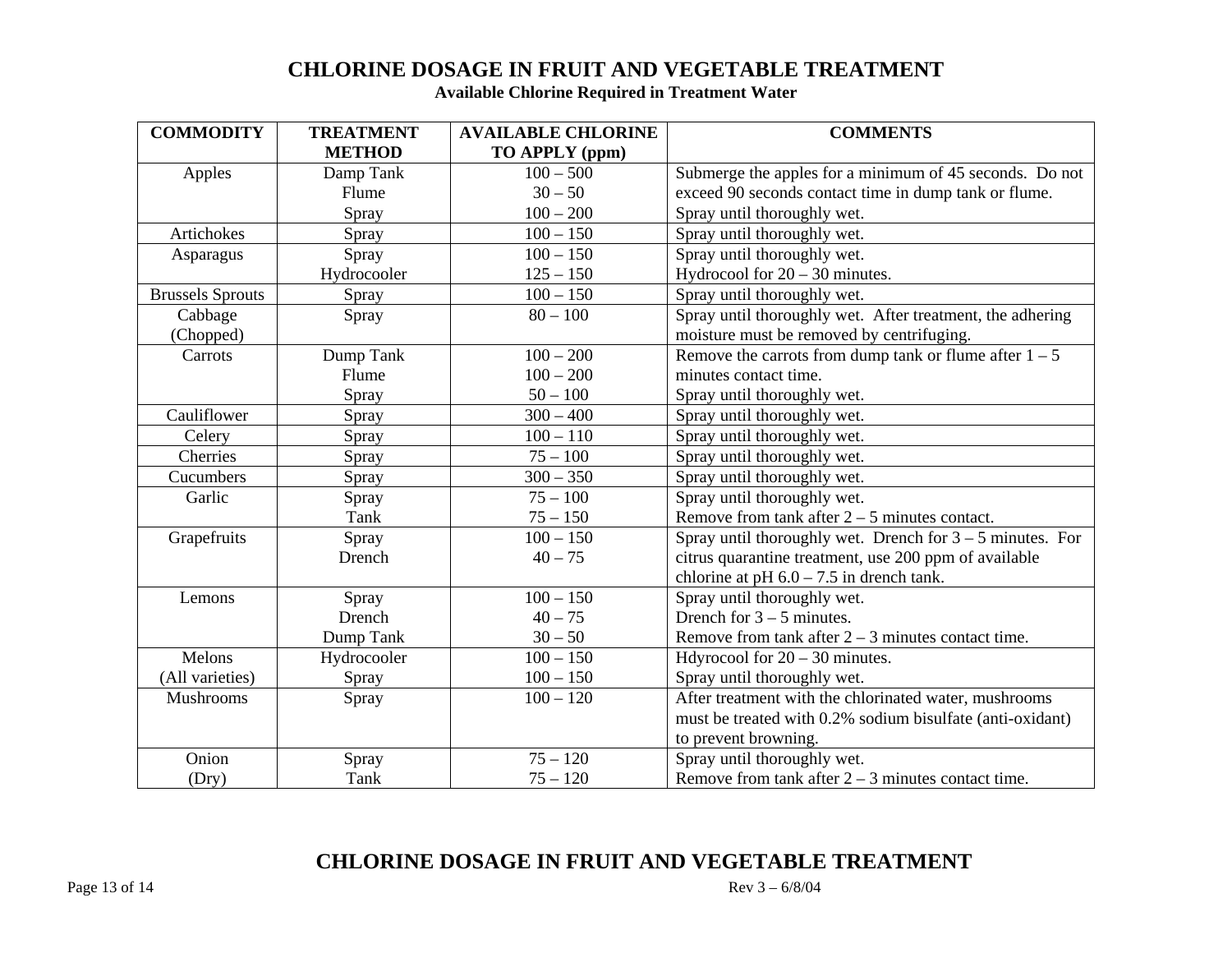# **CHLORINE DOSAGE IN FRUIT AND VEGETABLE TREATMENT**

**Available Chlorine Required in Treatment Water** 

| <b>COMMODITY</b>        | <b>TREATMENT</b> | <b>AVAILABLE CHLORINE</b> | <b>COMMENTS</b>                                             |
|-------------------------|------------------|---------------------------|-------------------------------------------------------------|
|                         | <b>METHOD</b>    | TO APPLY (ppm)            |                                                             |
| Apples                  | Damp Tank        | $100 - 500$               | Submerge the apples for a minimum of 45 seconds. Do not     |
|                         | Flume            | $30 - 50$                 | exceed 90 seconds contact time in dump tank or flume.       |
|                         | Spray            | $100 - 200$               | Spray until thoroughly wet.                                 |
| Artichokes              | Spray            | $100 - 150$               | Spray until thoroughly wet.                                 |
| Asparagus               | Spray            | $100 - 150$               | Spray until thoroughly wet.                                 |
|                         | Hydrocooler      | $125 - 150$               | Hydrocool for $20 - 30$ minutes.                            |
| <b>Brussels Sprouts</b> | Spray            | $100 - 150$               | Spray until thoroughly wet.                                 |
| Cabbage                 | Spray            | $80 - 100$                | Spray until thoroughly wet. After treatment, the adhering   |
| (Chopped)               |                  |                           | moisture must be removed by centrifuging.                   |
| Carrots                 | Dump Tank        | $100 - 200$               | Remove the carrots from dump tank or flume after $1 - 5$    |
|                         | Flume            | $100 - 200$               | minutes contact time.                                       |
|                         | Spray            | $50 - 100$                | Spray until thoroughly wet.                                 |
| Cauliflower             | Spray            | $300 - 400$               | Spray until thoroughly wet.                                 |
| Celery                  | Spray            | $100 - 110$               | Spray until thoroughly wet.                                 |
| Cherries                | Spray            | $75 - 100$                | Spray until thoroughly wet.                                 |
| Cucumbers               | Spray            | $300 - 350$               | Spray until thoroughly wet.                                 |
| Garlic                  | Spray            | $75 - 100$                | Spray until thoroughly wet.                                 |
|                         | Tank             | $75 - 150$                | Remove from tank after $2 - 5$ minutes contact.             |
| Grapefruits             | Spray            | $100 - 150$               | Spray until thoroughly wet. Drench for $3 - 5$ minutes. For |
|                         | Drench           | $40 - 75$                 | citrus quarantine treatment, use 200 ppm of available       |
|                         |                  |                           | chlorine at pH $6.0 - 7.5$ in drench tank.                  |
| Lemons                  | Spray            | $100 - 150$               | Spray until thoroughly wet.                                 |
|                         | Drench           | $40 - 75$                 | Drench for $3 - 5$ minutes.                                 |
|                         | Dump Tank        | $30 - 50$                 | Remove from tank after $2 - 3$ minutes contact time.        |
| Melons                  | Hydrocooler      | $100 - 150$               | Hdyrocool for $20 - 30$ minutes.                            |
| (All varieties)         | Spray            | $100 - 150$               | Spray until thoroughly wet.                                 |
| Mushrooms               | Spray            | $100 - 120$               | After treatment with the chlorinated water, mushrooms       |
|                         |                  |                           | must be treated with 0.2% sodium bisulfate (anti-oxidant)   |
|                         |                  |                           | to prevent browning.                                        |
| Onion                   | Spray            | $75 - 120$                | Spray until thoroughly wet.                                 |
| (Dry)                   | Tank             | $75 - 120$                | Remove from tank after $2 - 3$ minutes contact time.        |

# **CHLORINE DOSAGE IN FRUIT AND VEGETABLE TREATMENT**